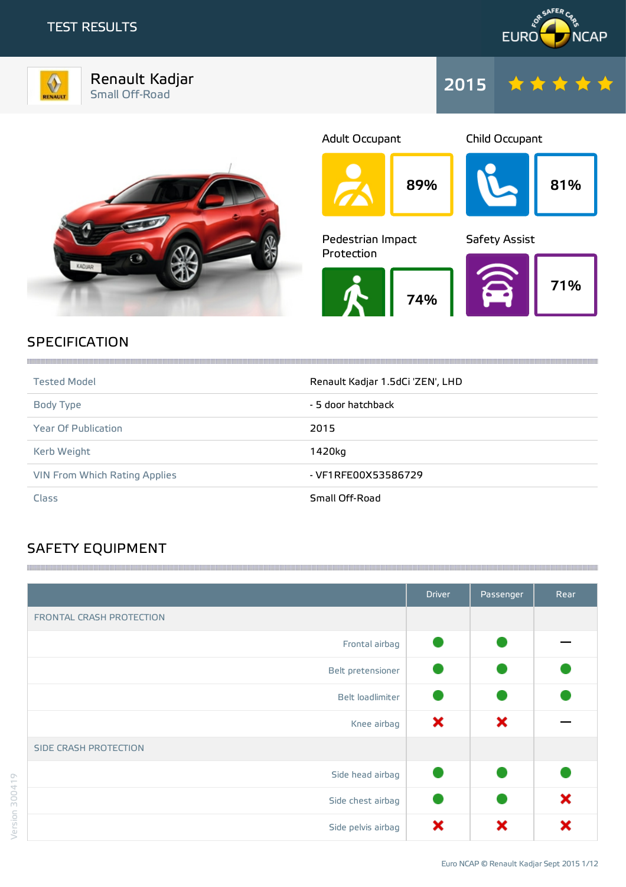# TEST RESULTS



Renault Kadjar Small Off-Road 2015





Child Occupant



89% 81% 74% Pedestrian Impact Protection 71% Safety Assist

Adult Occupant

# **SPECIFICATION**

| <b>Tested Model</b>           | Renault Kadjar 1.5dCi 'ZEN', LHD |
|-------------------------------|----------------------------------|
| Body Type                     | - 5 door hatchback               |
| <b>Year Of Publication</b>    | 2015                             |
| Kerb Weight                   | 1420kg                           |
| VIN From Which Rating Applies | - VF1RFE00X53586729              |
| <b>Class</b>                  | Small Off-Road                   |

# SAFETY EQUIPMENT

|                              | <b>Driver</b> | Passenger | Rear |
|------------------------------|---------------|-----------|------|
| FRONTAL CRASH PROTECTION     |               |           |      |
| Frontal airbag               |               |           |      |
| Belt pretensioner            |               |           |      |
| Belt loadlimiter             |               |           |      |
| Knee airbag                  | ×             | ×         |      |
| <b>SIDE CRASH PROTECTION</b> |               |           |      |
| Side head airbag             |               |           |      |
| Side chest airbag            |               |           | ×    |
| Side pelvis airbag           | x             | x         |      |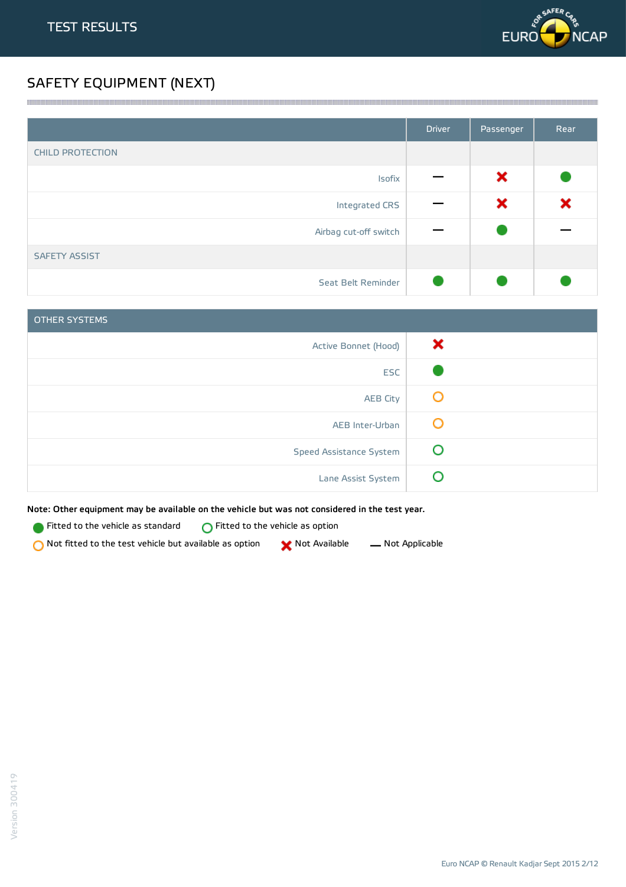

# SAFETY EQUIPMENT (NEXT)

|                         | <b>Driver</b> | Passenger | Rear |
|-------------------------|---------------|-----------|------|
| <b>CHILD PROTECTION</b> |               |           |      |
| Isofix                  |               | ×         |      |
| Integrated CRS          |               | ×         | ×    |
| Airbag cut-off switch   |               |           |      |
| <b>SAFETY ASSIST</b>    |               |           |      |
| Seat Belt Reminder      |               |           |      |

<u> 1989 - Andrea Stadt Stadt Stadt Stadt Stadt Stadt Stadt Stadt Stadt Stadt Stadt Stadt Stadt Stadt Stadt Stadt Stadt Stadt Stadt Stadt Stadt Stadt Stadt Stadt Stadt Stadt Stadt Stadt Stadt Stadt Stadt Stadt Stadt Stadt St</u>

| <b>OTHER SYSTEMS</b>           |   |
|--------------------------------|---|
| Active Bonnet (Hood)           | × |
| <b>ESC</b>                     |   |
| <b>AEB City</b>                | Ő |
| AEB Inter-Urban                | O |
| <b>Speed Assistance System</b> | O |
| Lane Assist System             |   |

Note: Other equipment may be available on the vehicle but was not considered in the test year.

**Fitted to the vehicle as standard**  $\bigcirc$  Fitted to the vehicle as option

 $\bigcirc$  Not fitted to the test vehicle but available as option  $\bigcirc$  Not Available  $\qquad$  Not Applicable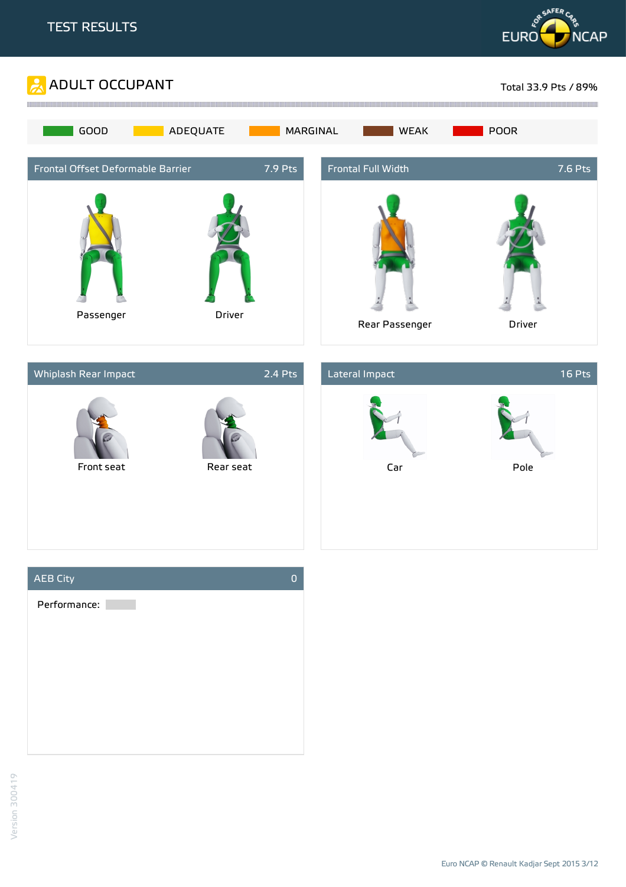







Euro NCAP © Renault Kadjar Sept 2015 3/12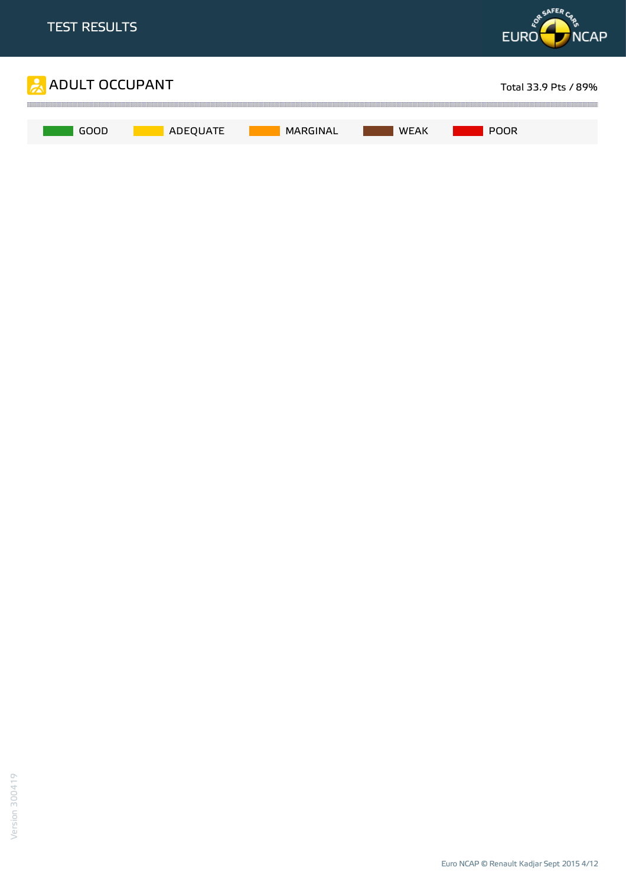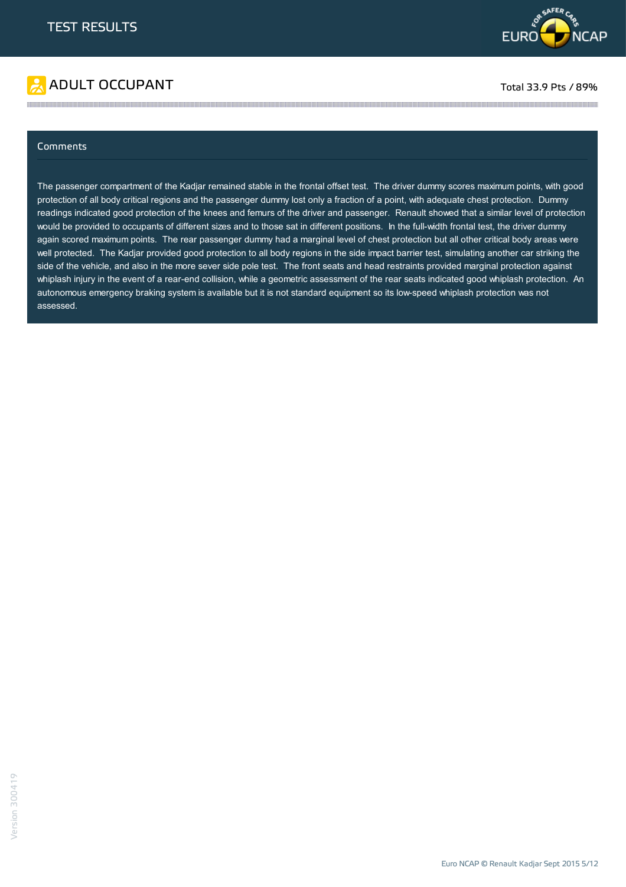



### Comments

The passenger compartment of the Kadjar remained stable in the frontal offset test. The driver dummy scores maximum points, with good protection of all body critical regions and the passenger dummy lost only a fraction of a point, with adequate chest protection. Dummy readings indicated good protection of the knees and femurs of the driver and passenger. Renault showed that a similar level of protection would be provided to occupants of different sizes and to those sat in different positions. In the full-width frontal test, the driver dummy again scored maximum points. The rear passenger dummy had a marginal level of chest protection but all other critical body areas were well protected. The Kadjar provided good protection to all body regions in the side impact barrier test, simulating another car striking the side of the vehicle, and also in the more sever side pole test. The front seats and head restraints provided marginal protection against whiplash injury in the event of a rear-end collision, while a geometric assessment of the rear seats indicated good whiplash protection. An autonomous emergency braking system is available but it is not standard equipment so its low-speed whiplash protection was not assessed.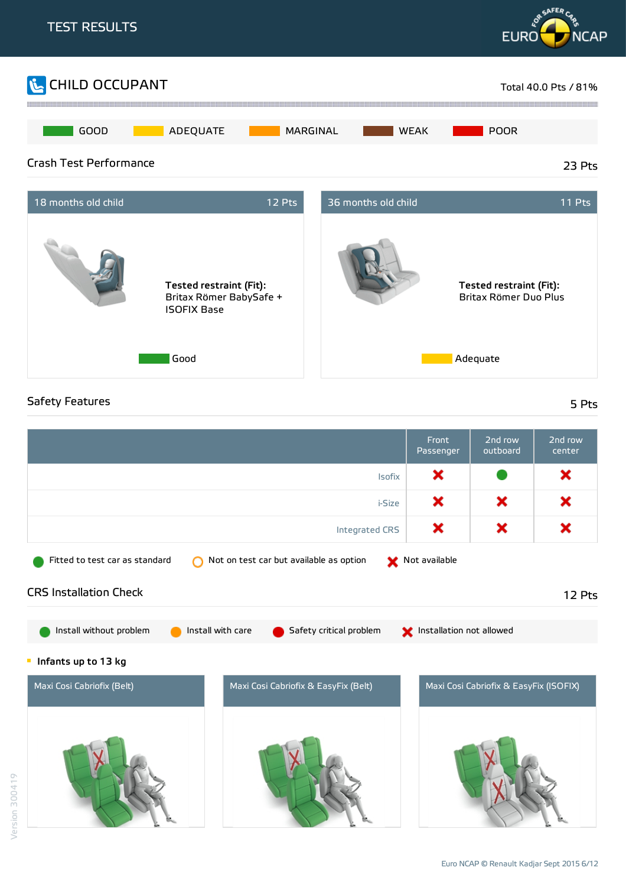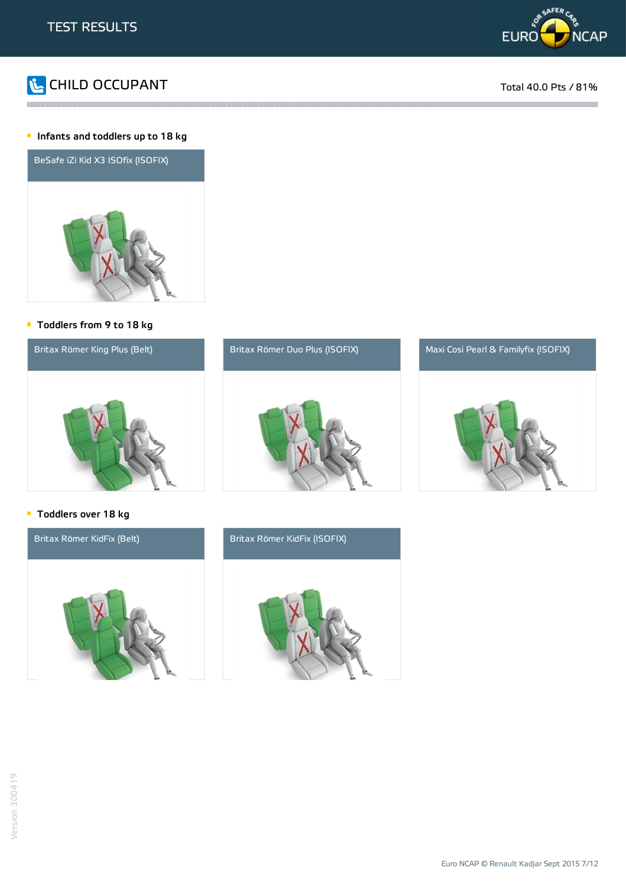



::::::

### **Infants and toddlers up to 18 kg**



### Toddlers from 9 to 18 kg







### **Toddlers over 18 kg**



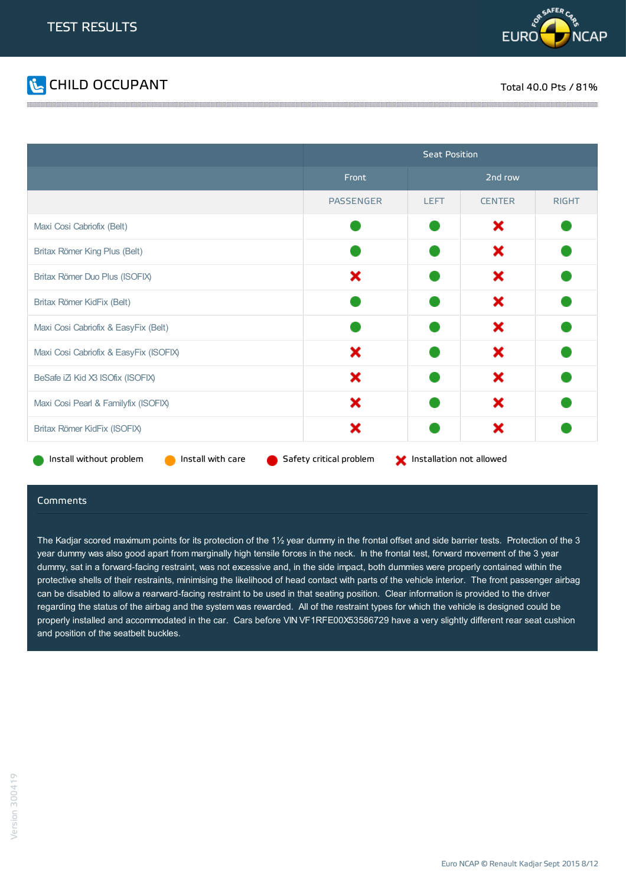



|                                              | <b>Seat Position</b>    |                          |               |              |
|----------------------------------------------|-------------------------|--------------------------|---------------|--------------|
|                                              | Front                   |                          | 2nd row       |              |
|                                              | <b>PASSENGER</b>        | <b>LEFT</b>              | <b>CENTER</b> | <b>RIGHT</b> |
| Maxi Cosi Cabriofix (Belt)                   |                         |                          | ×             |              |
| Britax Römer King Plus (Belt)                |                         |                          | ×             |              |
| Britax Römer Duo Plus (ISOFIX)               | ×                       |                          | ×             |              |
| Britax Römer KidFix (Belt)                   |                         |                          | ×             |              |
| Maxi Cosi Cabriofix & EasyFix (Belt)         |                         |                          | ×             |              |
| Maxi Cosi Cabriofix & EasyFix (ISOFIX)       | ×                       |                          | ×             |              |
| BeSafe iZ Kid X3 ISOfix (ISOFIX)             | ×                       |                          | ×             |              |
| Maxi Cosi Pearl & Familyfix (ISOFIX)         | ×                       |                          | ×             |              |
| Britax Römer KidFix (ISOFIX)                 | ×                       |                          | ×             |              |
| Install without problem<br>Install with care | Safety critical problem | Installation not allowed |               |              |

#### Comments

The Kadjar scored maximum points for its protection of the 1½ year dummy in the frontal offset and side barrier tests. Protection of the 3 year dummy was also good apart from marginally high tensile forces in the neck. In the frontal test, forward movement of the 3 year dummy, sat in a forward-facing restraint, was not excessive and, in the side impact, both dummies were properly contained within the protective shells of their restraints, minimising the likelihood of head contact with parts of the vehicle interior. The front passenger airbag can be disabled to allow a rearward-facing restraint to be used in that seating position. Clear information is provided to the driver regarding the status of the airbag and the system was rewarded. All of the restraint types for which the vehicle is designed could be properly installed and accommodated in the car. Cars before VIN VF1RFE00X53586729 have a very slightly different rear seat cushion and position of the seatbelt buckles.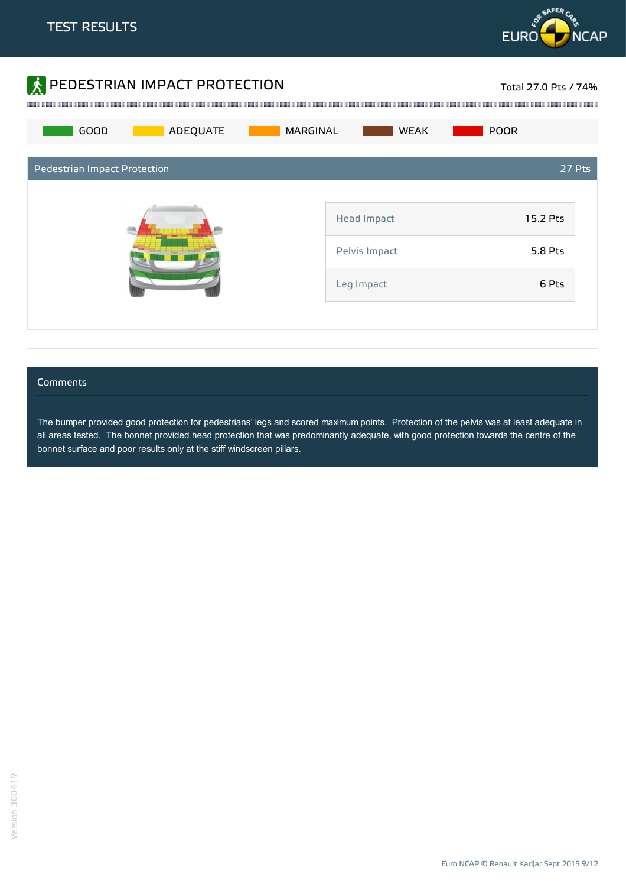



### **Comments**

The bumper provided good protection for pedestrians' legs and scored maximum points. Protection of the pelvis was at least adequate in all areas tested. The bonnet provided head protection that was predominantly adequate, with good protection towards the centre of the bonnet surface and poor results only at the stiff windscreen pillars.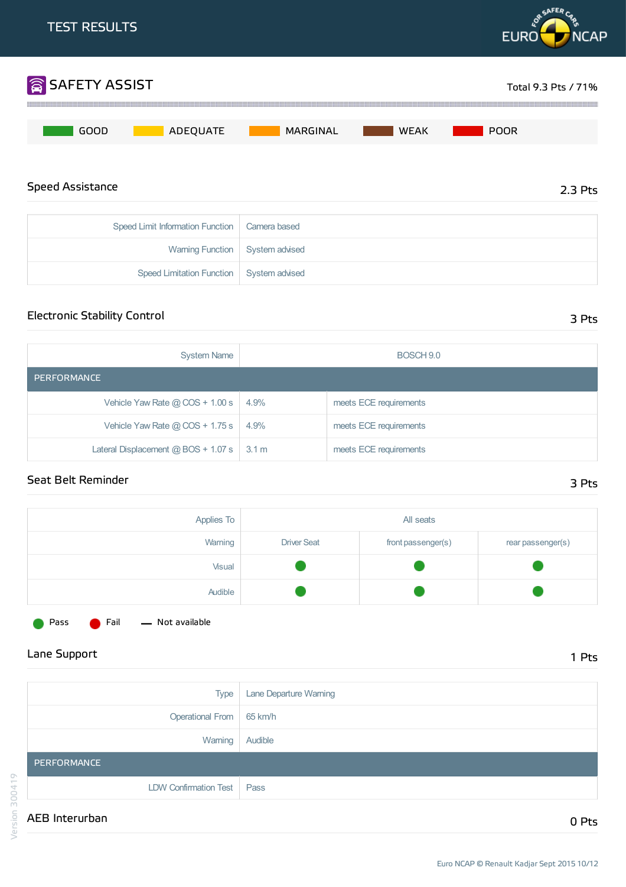

# Electronic Stability Control 3 Pts

| <b>System Name</b>                              | BOSCH 9.0 |                        |  |  |
|-------------------------------------------------|-----------|------------------------|--|--|
| PERFORMANCE                                     |           |                        |  |  |
| Vehicle Yaw Rate $@$ COS + 1.00 s               | 4.9%      | meets ECE requirements |  |  |
| Vehicle Yaw Rate $@$ COS + 1.75 s               | 4.9%      | meets ECE requirements |  |  |
| Lateral Displacement $@$ BOS + 1.07 s $ $ 3.1 m |           | meets ECE requirements |  |  |

## Seat Belt Reminder 3 Pts

| Applies To | All seats          |                    |                   |
|------------|--------------------|--------------------|-------------------|
| Warning    | <b>Driver Seat</b> | front passenger(s) | rear passenger(s) |
| Visual     |                    |                    |                   |
| Audible    |                    |                    |                   |



Pass **C** Fail - Not available

Lane Support 1 Pts

|         | <b>Type</b>           | Lane Departure Warning |
|---------|-----------------------|------------------------|
|         | Operational From      | 65 km/h                |
|         | Warning               | Audible                |
|         | PERFORMANCE           |                        |
| 300419  | LDW Confirmation Test | Pass                   |
| Version | AEB Interurban        | 0 Pts                  |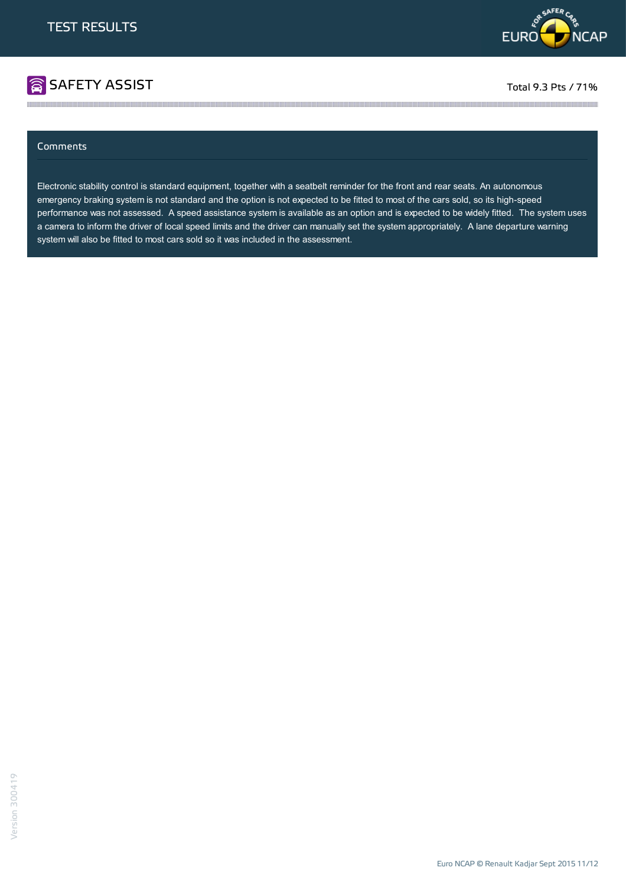

# **SAFETY ASSIST** Total 9.3 Pts / 71%

### Comments

Electronic stability control is standard equipment, together with a seatbelt reminder for the front and rear seats. An autonomous emergency braking system is not standard and the option is not expected to be fitted to most of the cars sold, so its high-speed performance was not assessed. A speed assistance system is available as an option and is expected to be widely fitted. The system uses a camera to inform the driver of local speed limits and the driver can manually set the system appropriately. A lane departure warning system will also be fitted to most cars sold so it was included in the assessment.